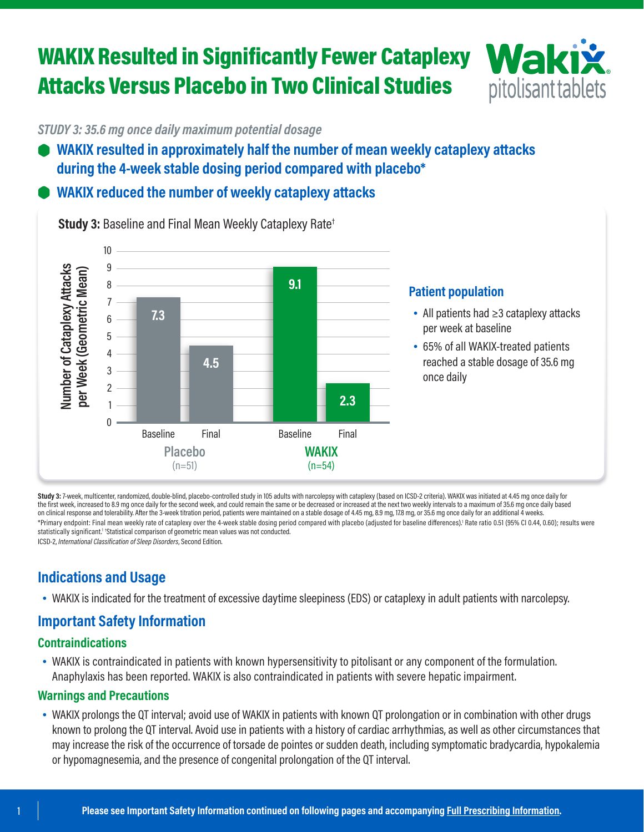## WAKIX Resulted in Significantly Fewer Cataplexy Attacks Versus Placebo in Two Clinical Studies



*STUDY 3: 35.6 mg once daily maximum potential dosage*

- **WAKIX resulted in approximately half the number of mean weekly cataplexy attacks during the 4-week stable dosing period compared with placebo\***
- **WAKIX reduced the number of weekly cataplexy attacks**



**Study 3:** Baseline and Final Mean Weekly Cataplexy Rate†

Study 3: 7-week, multicenter, randomized, double-blind, placebo-controlled study in 105 adults with narcolepsy with cataplexy (based on ICSD-2 criteria). WAKIX was initiated at 4.45 mg once daily for the first week, increased to 8.9 mg once daily for the second week, and could remain the same or be decreased or increased at the next two weekly intervals to a maximum of 35.6 mg once daily based on clinical response and tolerability. After the 3-week titration period, patients were maintained on a stable dosage of 4.45 mg, 8.9 mg, 17.8 mg, or 35.6 mg once daily for an additional 4 weeks. \*Primary endpoint: Final mean weekly rate of cataplexy over the 4-week stable dosing period compared with placebo (adjusted for baseline differences).<sup>1</sup> Rate ratio 0.51 (95% CI 0.44, 0.60); results were statistically significant.<sup>1 †</sup>Statistical comparison of geometric mean values was not conducted. ICSD-2, *International Classification of Sleep Disorders*, Second Edition.

**Indications and Usage**

• WAKIX is indicated for the treatment of excessive daytime sleepiness (EDS) or cataplexy in adult patients with narcolepsy.

### **Important Safety Information**

#### **Contraindications**

• WAKIX is contraindicated in patients with known hypersensitivity to pitolisant or any component of the formulation. Anaphylaxis has been reported. WAKIX is also contraindicated in patients with severe hepatic impairment.

#### **Warnings and Precautions**

• WAKIX prolongs the QT interval; avoid use of WAKIX in patients with known QT prolongation or in combination with other drugs known to prolong the QT interval. Avoid use in patients with a history of cardiac arrhythmias, as well as other circumstances that may increase the risk of the occurrence of torsade de pointes or sudden death, including symptomatic bradycardia, hypokalemia or hypomagnesemia, and the presence of congenital prolongation of the QT interval.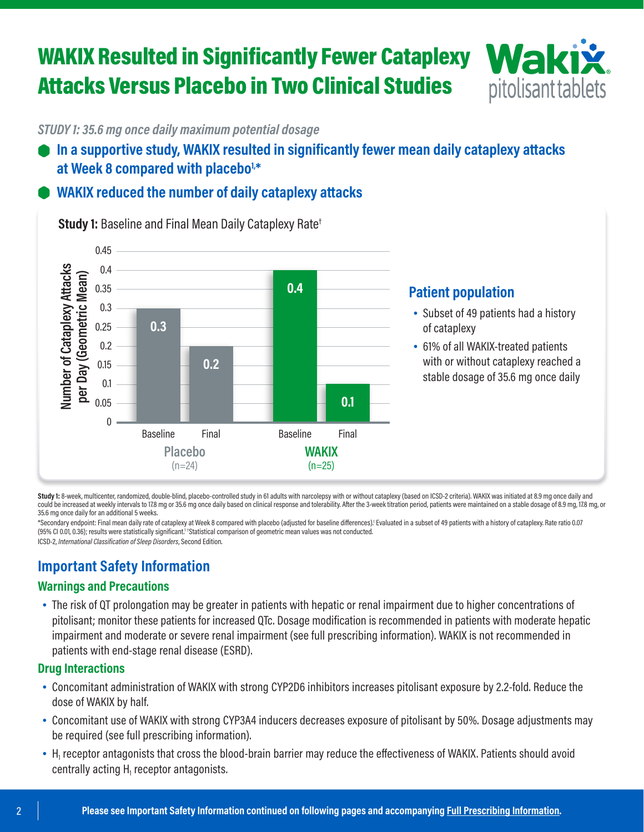## WAKIX Resulted in Significantly Fewer Cataplexy Attacks Versus Placebo in Two Clinical Studies



*STUDY 1: 35.6 mg once daily maximum potential dosage*

**In a supportive study, WAKIX resulted in significantly fewer mean daily cataplexy attacks**  at Week 8 compared with placebo<sup>1,\*</sup>

### **WAKIX reduced the number of daily cataplexy attacks**



**Study 1:** Baseline and Final Mean Daily Cataplexy Rate†

#### **Patient population**

- Subset of 49 patients had a history of cataplexy
- 61% of all WAKIX-treated patients with or without cataplexy reached a stable dosage of 35.6 mg once daily

Study 1: 8-week, multicenter, randomized, double-blind, placebo-controlled study in 61 adults with narcolepsy with or without cataplexy (based on ICSD-2 criteria). WAKIX was initiated at 8.9 mg once daily and could be increased at weekly intervals to 17.8 mg or 35.6 mg once daily based on clinical response and tolerability. After the 3-week titration period, patients were maintained on a stable dosage of 8.9 mg, 17.8 mg, or 35.6 mg once daily for an additional 5 weeks.

\*Secondary endpoint: Final mean daily rate of cataplexy at Week 8 compared with placebo (adjusted for baseline differences). Evaluated in a subset of 49 patients with a history of cataplexy. Rate ratio 0.07 (95% CI 0.01, 0.36); results were statistically significant.<sup>1</sup> †Statistical comparison of geometric mean values was not conducted.

ICSD-2, *International Classification of Sleep Disorders*, Second Edition.

## **Important Safety Information**

#### **Warnings and Precautions**

• The risk of QT prolongation may be greater in patients with hepatic or renal impairment due to higher concentrations of pitolisant; monitor these patients for increased QTc. Dosage modification is recommended in patients with moderate hepatic impairment and moderate or severe renal impairment (see full prescribing information). WAKIX is not recommended in patients with end-stage renal disease (ESRD).

#### **Drug Interactions**

- Concomitant administration of WAKIX with strong CYP2D6 inhibitors increases pitolisant exposure by 2.2-fold. Reduce the dose of WAKIX by half.
- Concomitant use of WAKIX with strong CYP3A4 inducers decreases exposure of pitolisant by 50%. Dosage adjustments may be required (see full prescribing information).
- H<sub>1</sub> receptor antagonists that cross the blood-brain barrier may reduce the effectiveness of WAKIX. Patients should avoid centrally acting  $\mathsf{H}_1$  receptor antagonists.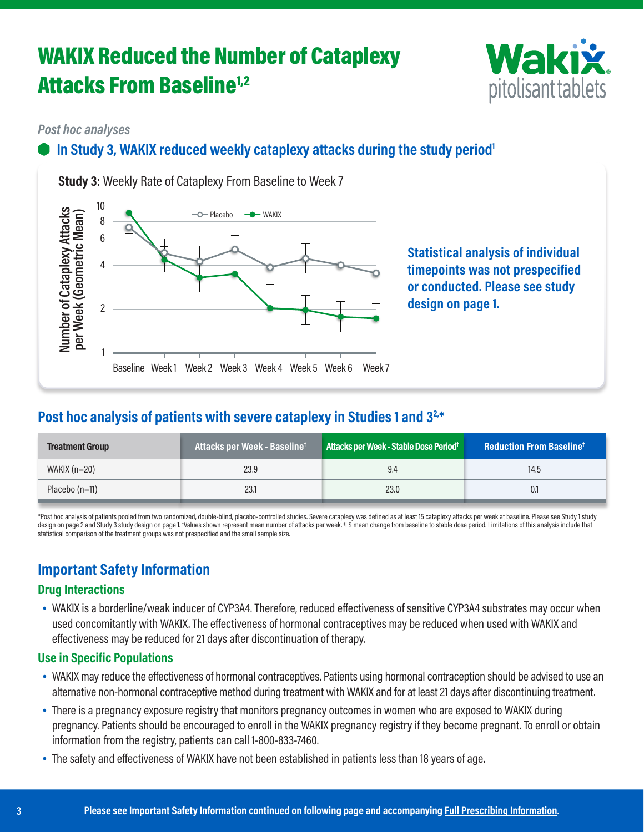## WAKIX Reduced the Number of Cataplexy **Attacks From Baseline<sup>1,2</sup>**



#### *Post hoc analyses*

### **In Study 3, WAKIX reduced weekly cataplexy attacks during the study period<sup>1</sup>**



**Study 3:** Weekly Rate of Cataplexy From Baseline to Week 7

**Statistical analysis of individual timepoints was not prespecified or conducted. Please see study design on page 1.**

### **Post hoc analysis of patients with severe cataplexy in Studies 1 and 32,\***

| <b>Treatment Group</b> | Attacks per Week - Baseline <sup>+</sup> | Attacks per Week - Stable Dose Period <sup>+</sup> | <b>Reduction From Baseline<sup>#</sup></b> |
|------------------------|------------------------------------------|----------------------------------------------------|--------------------------------------------|
| WAKIX $(n=20)$         | 23.9                                     | 9.4                                                | 14.5                                       |
| Placebo $(n=11)$       | 23.1                                     | 23.0                                               | 0.1                                        |

\*Post hoc analysis of patients pooled from two randomized, double-blind, placebo-controlled studies. Severe cataplexy was defined as at least 15 cataplexy attacks per week at baseline. Please see Study 1 study design on page 2 and Study 3 study design on page 1. †Values shown represent mean number of attacks per week. ‡LS mean change from baseline to stable dose period. Limitations of this analysis include that statistical comparison of the treatment groups was not prespecified and the small sample size.

## **Important Safety Information**

#### **Drug Interactions**

• WAKIX is a borderline/weak inducer of CYP3A4. Therefore, reduced effectiveness of sensitive CYP3A4 substrates may occur when used concomitantly with WAKIX. The effectiveness of hormonal contraceptives may be reduced when used with WAKIX and effectiveness may be reduced for 21 days after discontinuation of therapy.

#### **Use in Specific Populations**

- WAKIX may reduce the effectiveness of hormonal contraceptives. Patients using hormonal contraception should be advised to use an alternative non-hormonal contraceptive method during treatment with WAKIX and for at least 21 days after discontinuing treatment.
- There is a pregnancy exposure registry that monitors pregnancy outcomes in women who are exposed to WAKIX during pregnancy. Patients should be encouraged to enroll in the WAKIX pregnancy registry if they become pregnant. To enroll or obtain information from the registry, patients can call 1-800-833-7460.
- The safety and effectiveness of WAKIX have not been established in patients less than 18 years of age.